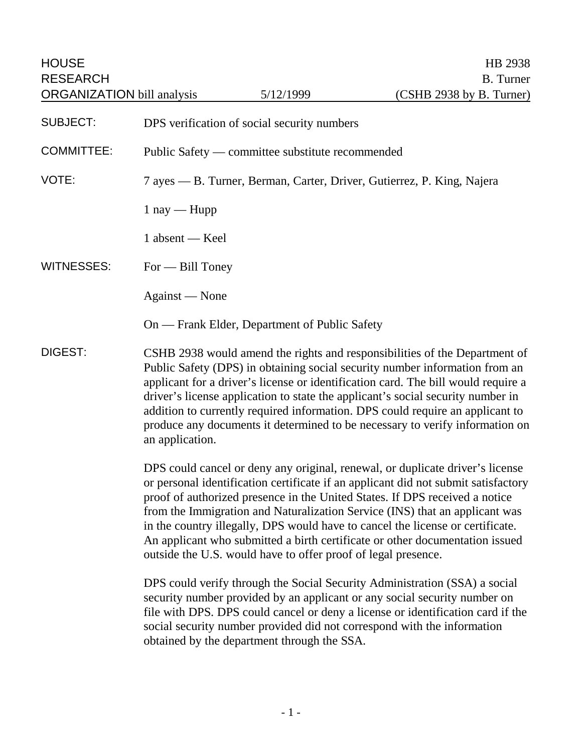| <b>HOUSE</b><br><b>RESEARCH</b><br><b>ORGANIZATION</b> bill analysis |                                                                                                                                                                                                                                                                                                                                                                                                                                                                                                                                                                      | 5/12/1999                                   | HB 2938<br><b>B.</b> Turner<br>(CSHB 2938 by B. Turner) |  |
|----------------------------------------------------------------------|----------------------------------------------------------------------------------------------------------------------------------------------------------------------------------------------------------------------------------------------------------------------------------------------------------------------------------------------------------------------------------------------------------------------------------------------------------------------------------------------------------------------------------------------------------------------|---------------------------------------------|---------------------------------------------------------|--|
| <b>SUBJECT:</b>                                                      |                                                                                                                                                                                                                                                                                                                                                                                                                                                                                                                                                                      | DPS verification of social security numbers |                                                         |  |
| <b>COMMITTEE:</b>                                                    | Public Safety — committee substitute recommended                                                                                                                                                                                                                                                                                                                                                                                                                                                                                                                     |                                             |                                                         |  |
| VOTE:                                                                | 7 ayes — B. Turner, Berman, Carter, Driver, Gutierrez, P. King, Najera                                                                                                                                                                                                                                                                                                                                                                                                                                                                                               |                                             |                                                         |  |
|                                                                      | $1$ nay — Hupp                                                                                                                                                                                                                                                                                                                                                                                                                                                                                                                                                       |                                             |                                                         |  |
|                                                                      | 1 absent — Keel                                                                                                                                                                                                                                                                                                                                                                                                                                                                                                                                                      |                                             |                                                         |  |
| <b>WITNESSES:</b>                                                    | $For$ $\rightarrow$ Bill Toney                                                                                                                                                                                                                                                                                                                                                                                                                                                                                                                                       |                                             |                                                         |  |
|                                                                      | Against — None                                                                                                                                                                                                                                                                                                                                                                                                                                                                                                                                                       |                                             |                                                         |  |
|                                                                      | On — Frank Elder, Department of Public Safety                                                                                                                                                                                                                                                                                                                                                                                                                                                                                                                        |                                             |                                                         |  |
| DIGEST:                                                              | CSHB 2938 would amend the rights and responsibilities of the Department of<br>Public Safety (DPS) in obtaining social security number information from an<br>applicant for a driver's license or identification card. The bill would require a<br>driver's license application to state the applicant's social security number in<br>addition to currently required information. DPS could require an applicant to<br>produce any documents it determined to be necessary to verify information on<br>an application.                                                |                                             |                                                         |  |
|                                                                      | DPS could cancel or deny any original, renewal, or duplicate driver's license<br>or personal identification certificate if an applicant did not submit satisfactory<br>proof of authorized presence in the United States. If DPS received a notice<br>from the Immigration and Naturalization Service (INS) that an applicant was<br>in the country illegally, DPS would have to cancel the license or certificate.<br>An applicant who submitted a birth certificate or other documentation issued<br>outside the U.S. would have to offer proof of legal presence. |                                             |                                                         |  |
|                                                                      | DPS could verify through the Social Security Administration (SSA) a social<br>security number provided by an applicant or any social security number on                                                                                                                                                                                                                                                                                                                                                                                                              |                                             |                                                         |  |

security number provided by an applicant or any social security number on file with DPS. DPS could cancel or deny a license or identification card if the social security number provided did not correspond with the information obtained by the department through the SSA.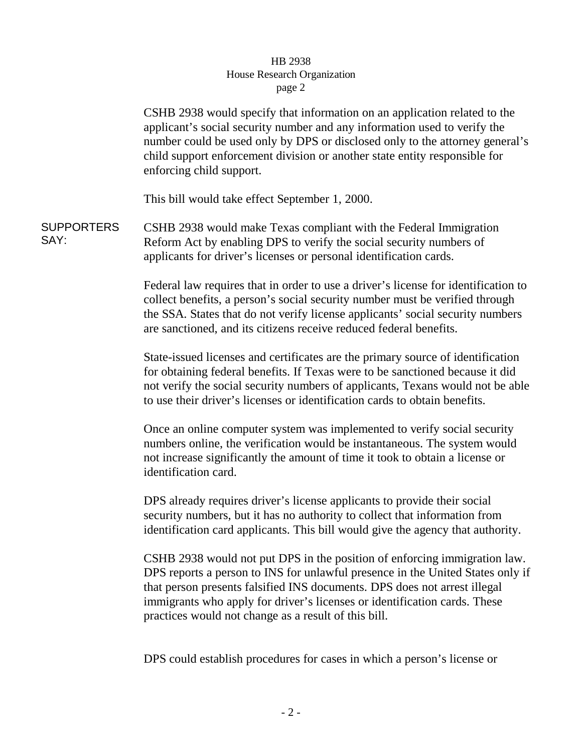## HB 2938 House Research Organization page 2

CSHB 2938 would specify that information on an application related to the applicant's social security number and any information used to verify the number could be used only by DPS or disclosed only to the attorney general's child support enforcement division or another state entity responsible for enforcing child support.

This bill would take effect September 1, 2000.

**SUPPORTERS** SAY: CSHB 2938 would make Texas compliant with the Federal Immigration Reform Act by enabling DPS to verify the social security numbers of applicants for driver's licenses or personal identification cards.

> Federal law requires that in order to use a driver's license for identification to collect benefits, a person's social security number must be verified through the SSA. States that do not verify license applicants' social security numbers are sanctioned, and its citizens receive reduced federal benefits.

> State-issued licenses and certificates are the primary source of identification for obtaining federal benefits. If Texas were to be sanctioned because it did not verify the social security numbers of applicants, Texans would not be able to use their driver's licenses or identification cards to obtain benefits.

Once an online computer system was implemented to verify social security numbers online, the verification would be instantaneous. The system would not increase significantly the amount of time it took to obtain a license or identification card.

DPS already requires driver's license applicants to provide their social security numbers, but it has no authority to collect that information from identification card applicants. This bill would give the agency that authority.

CSHB 2938 would not put DPS in the position of enforcing immigration law. DPS reports a person to INS for unlawful presence in the United States only if that person presents falsified INS documents. DPS does not arrest illegal immigrants who apply for driver's licenses or identification cards. These practices would not change as a result of this bill.

DPS could establish procedures for cases in which a person's license or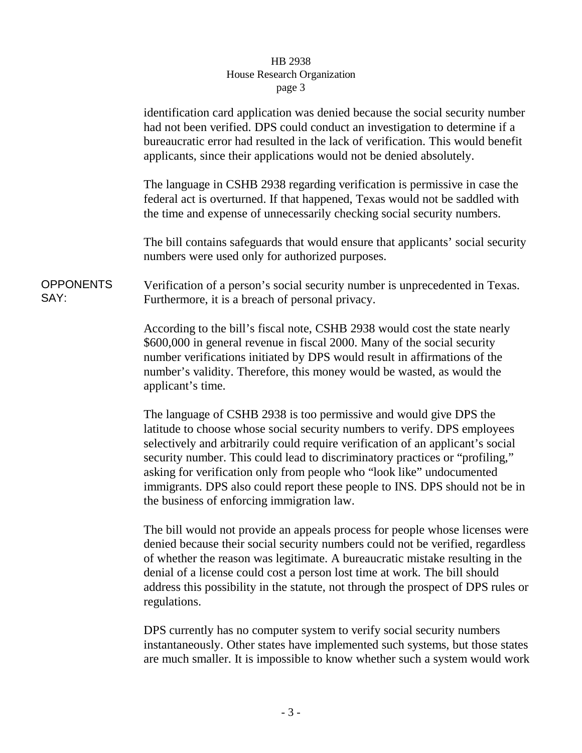## HB 2938 House Research Organization page 3

|                          | identification card application was denied because the social security number<br>had not been verified. DPS could conduct an investigation to determine if a<br>bureaucratic error had resulted in the lack of verification. This would benefit<br>applicants, since their applications would not be denied absolutely.                                                                                                                                                                                                  |  |  |  |
|--------------------------|--------------------------------------------------------------------------------------------------------------------------------------------------------------------------------------------------------------------------------------------------------------------------------------------------------------------------------------------------------------------------------------------------------------------------------------------------------------------------------------------------------------------------|--|--|--|
|                          | The language in CSHB 2938 regarding verification is permissive in case the<br>federal act is overturned. If that happened, Texas would not be saddled with<br>the time and expense of unnecessarily checking social security numbers.                                                                                                                                                                                                                                                                                    |  |  |  |
|                          | The bill contains safeguards that would ensure that applicants' social security<br>numbers were used only for authorized purposes.                                                                                                                                                                                                                                                                                                                                                                                       |  |  |  |
| <b>OPPONENTS</b><br>SAY: | Verification of a person's social security number is unprecedented in Texas.<br>Furthermore, it is a breach of personal privacy.                                                                                                                                                                                                                                                                                                                                                                                         |  |  |  |
|                          | According to the bill's fiscal note, CSHB 2938 would cost the state nearly<br>\$600,000 in general revenue in fiscal 2000. Many of the social security<br>number verifications initiated by DPS would result in affirmations of the<br>number's validity. Therefore, this money would be wasted, as would the<br>applicant's time.                                                                                                                                                                                       |  |  |  |
|                          | The language of CSHB 2938 is too permissive and would give DPS the<br>latitude to choose whose social security numbers to verify. DPS employees<br>selectively and arbitrarily could require verification of an applicant's social<br>security number. This could lead to discriminatory practices or "profiling,"<br>asking for verification only from people who "look like" undocumented<br>immigrants. DPS also could report these people to INS. DPS should not be in<br>the business of enforcing immigration law. |  |  |  |
|                          | The bill would not provide an appeals process for people whose licenses were<br>denied because their social security numbers could not be verified, regardless<br>of whether the reason was legitimate. A bureaucratic mistake resulting in the<br>denial of a license could cost a person lost time at work. The bill should<br>address this possibility in the statute, not through the prospect of DPS rules or<br>regulations.                                                                                       |  |  |  |

DPS currently has no computer system to verify social security numbers instantaneously. Other states have implemented such systems, but those states are much smaller. It is impossible to know whether such a system would work